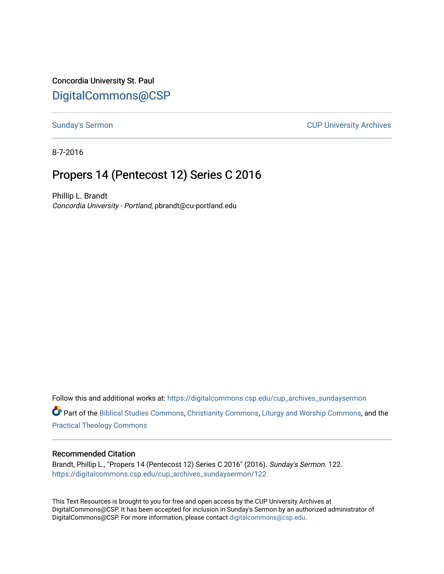Concordia University St. Paul [DigitalCommons@CSP](https://digitalcommons.csp.edu/)

[Sunday's Sermon](https://digitalcommons.csp.edu/cup_archives_sundaysermon) **CUP University Archives** 

8-7-2016

# Propers 14 (Pentecost 12) Series C 2016

Phillip L. Brandt Concordia University - Portland, pbrandt@cu-portland.edu

Follow this and additional works at: [https://digitalcommons.csp.edu/cup\\_archives\\_sundaysermon](https://digitalcommons.csp.edu/cup_archives_sundaysermon?utm_source=digitalcommons.csp.edu%2Fcup_archives_sundaysermon%2F122&utm_medium=PDF&utm_campaign=PDFCoverPages)

Part of the [Biblical Studies Commons,](http://network.bepress.com/hgg/discipline/539?utm_source=digitalcommons.csp.edu%2Fcup_archives_sundaysermon%2F122&utm_medium=PDF&utm_campaign=PDFCoverPages) [Christianity Commons,](http://network.bepress.com/hgg/discipline/1181?utm_source=digitalcommons.csp.edu%2Fcup_archives_sundaysermon%2F122&utm_medium=PDF&utm_campaign=PDFCoverPages) [Liturgy and Worship Commons](http://network.bepress.com/hgg/discipline/1188?utm_source=digitalcommons.csp.edu%2Fcup_archives_sundaysermon%2F122&utm_medium=PDF&utm_campaign=PDFCoverPages), and the [Practical Theology Commons](http://network.bepress.com/hgg/discipline/1186?utm_source=digitalcommons.csp.edu%2Fcup_archives_sundaysermon%2F122&utm_medium=PDF&utm_campaign=PDFCoverPages) 

#### Recommended Citation

Brandt, Phillip L., "Propers 14 (Pentecost 12) Series C 2016" (2016). Sunday's Sermon. 122. [https://digitalcommons.csp.edu/cup\\_archives\\_sundaysermon/122](https://digitalcommons.csp.edu/cup_archives_sundaysermon/122?utm_source=digitalcommons.csp.edu%2Fcup_archives_sundaysermon%2F122&utm_medium=PDF&utm_campaign=PDFCoverPages) 

This Text Resources is brought to you for free and open access by the CUP University Archives at DigitalCommons@CSP. It has been accepted for inclusion in Sunday's Sermon by an authorized administrator of DigitalCommons@CSP. For more information, please contact [digitalcommons@csp.edu](mailto:digitalcommons@csp.edu).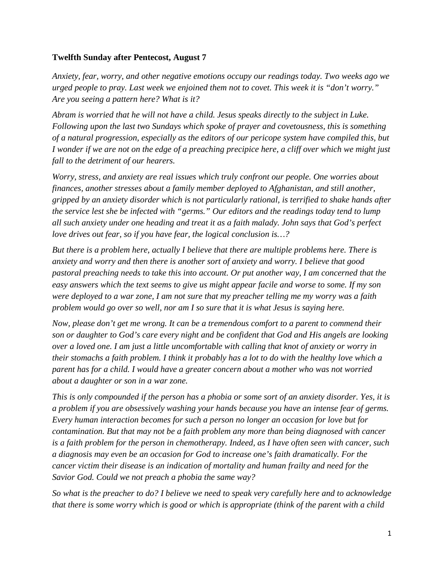### **Twelfth Sunday after Pentecost, August 7**

*Anxiety, fear, worry, and other negative emotions occupy our readings today. Two weeks ago we urged people to pray. Last week we enjoined them not to covet. This week it is "don't worry." Are you seeing a pattern here? What is it?* 

*Abram is worried that he will not have a child. Jesus speaks directly to the subject in Luke. Following upon the last two Sundays which spoke of prayer and covetousness, this is something of a natural progression, especially as the editors of our pericope system have compiled this, but I wonder if we are not on the edge of a preaching precipice here, a cliff over which we might just fall to the detriment of our hearers.* 

*Worry, stress, and anxiety are real issues which truly confront our people. One worries about finances, another stresses about a family member deployed to Afghanistan, and still another, gripped by an anxiety disorder which is not particularly rational, is terrified to shake hands after the service lest she be infected with "germs." Our editors and the readings today tend to lump all such anxiety under one heading and treat it as a faith malady. John says that God's perfect love drives out fear, so if you have fear, the logical conclusion is…?* 

*But there is a problem here, actually I believe that there are multiple problems here. There is anxiety and worry and then there is another sort of anxiety and worry. I believe that good pastoral preaching needs to take this into account. Or put another way, I am concerned that the easy answers which the text seems to give us might appear facile and worse to some. If my son were deployed to a war zone, I am not sure that my preacher telling me my worry was a faith problem would go over so well, nor am I so sure that it is what Jesus is saying here.* 

*Now, please don't get me wrong. It can be a tremendous comfort to a parent to commend their son or daughter to God's care every night and be confident that God and His angels are looking over a loved one. I am just a little uncomfortable with calling that knot of anxiety or worry in their stomachs a faith problem. I think it probably has a lot to do with the healthy love which a parent has for a child. I would have a greater concern about a mother who was not worried about a daughter or son in a war zone.* 

*This is only compounded if the person has a phobia or some sort of an anxiety disorder. Yes, it is a problem if you are obsessively washing your hands because you have an intense fear of germs. Every human interaction becomes for such a person no longer an occasion for love but for contamination. But that may not be a faith problem any more than being diagnosed with cancer is a faith problem for the person in chemotherapy. Indeed, as I have often seen with cancer, such a diagnosis may even be an occasion for God to increase one's faith dramatically. For the cancer victim their disease is an indication of mortality and human frailty and need for the Savior God. Could we not preach a phobia the same way?* 

*So what is the preacher to do? I believe we need to speak very carefully here and to acknowledge that there is some worry which is good or which is appropriate (think of the parent with a child*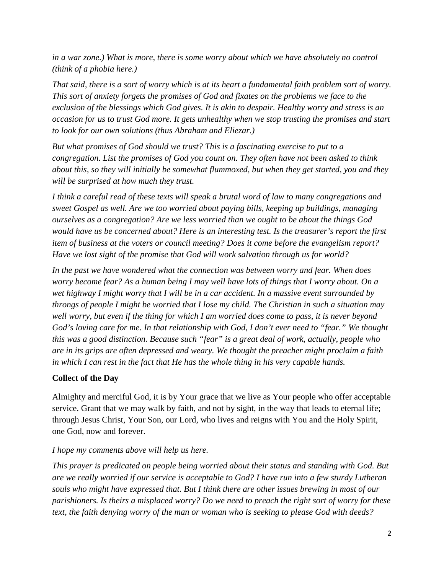*in a war zone.) What is more, there is some worry about which we have absolutely no control (think of a phobia here.)* 

*That said, there is a sort of worry which is at its heart a fundamental faith problem sort of worry. This sort of anxiety forgets the promises of God and fixates on the problems we face to the exclusion of the blessings which God gives. It is akin to despair. Healthy worry and stress is an occasion for us to trust God more. It gets unhealthy when we stop trusting the promises and start to look for our own solutions (thus Abraham and Eliezar.)* 

*But what promises of God should we trust? This is a fascinating exercise to put to a congregation. List the promises of God you count on. They often have not been asked to think about this, so they will initially be somewhat flummoxed, but when they get started, you and they will be surprised at how much they trust.* 

*I think a careful read of these texts will speak a brutal word of law to many congregations and sweet Gospel as well. Are we too worried about paying bills, keeping up buildings, managing ourselves as a congregation? Are we less worried than we ought to be about the things God would have us be concerned about? Here is an interesting test. Is the treasurer's report the first item of business at the voters or council meeting? Does it come before the evangelism report? Have we lost sight of the promise that God will work salvation through us for world?* 

*In the past we have wondered what the connection was between worry and fear. When does worry become fear? As a human being I may well have lots of things that I worry about. On a wet highway I might worry that I will be in a car accident. In a massive event surrounded by throngs of people I might be worried that I lose my child. The Christian in such a situation may well worry, but even if the thing for which I am worried does come to pass, it is never beyond God's loving care for me. In that relationship with God, I don't ever need to "fear." We thought this was a good distinction. Because such "fear" is a great deal of work, actually, people who are in its grips are often depressed and weary. We thought the preacher might proclaim a faith in which I can rest in the fact that He has the whole thing in his very capable hands.* 

## **Collect of the Day**

Almighty and merciful God, it is by Your grace that we live as Your people who offer acceptable service. Grant that we may walk by faith, and not by sight, in the way that leads to eternal life; through Jesus Christ, Your Son, our Lord, who lives and reigns with You and the Holy Spirit, one God, now and forever.

### *I hope my comments above will help us here.*

*This prayer is predicated on people being worried about their status and standing with God. But are we really worried if our service is acceptable to God? I have run into a few sturdy Lutheran souls who might have expressed that. But I think there are other issues brewing in most of our parishioners. Is theirs a misplaced worry? Do we need to preach the right sort of worry for these text, the faith denying worry of the man or woman who is seeking to please God with deeds?*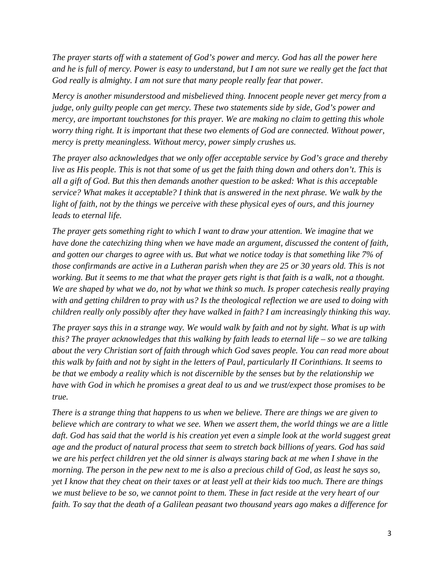*The prayer starts off with a statement of God's power and mercy. God has all the power here and he is full of mercy. Power is easy to understand, but I am not sure we really get the fact that God really is almighty. I am not sure that many people really fear that power.* 

*Mercy is another misunderstood and misbelieved thing. Innocent people never get mercy from a judge, only guilty people can get mercy. These two statements side by side, God's power and mercy, are important touchstones for this prayer. We are making no claim to getting this whole worry thing right. It is important that these two elements of God are connected. Without power, mercy is pretty meaningless. Without mercy, power simply crushes us.* 

*The prayer also acknowledges that we only offer acceptable service by God's grace and thereby live as His people. This is not that some of us get the faith thing down and others don't. This is all a gift of God. But this then demands another question to be asked: What is this acceptable service? What makes it acceptable? I think that is answered in the next phrase. We walk by the light of faith, not by the things we perceive with these physical eyes of ours, and this journey leads to eternal life.* 

*The prayer gets something right to which I want to draw your attention. We imagine that we have done the catechizing thing when we have made an argument, discussed the content of faith, and gotten our charges to agree with us. But what we notice today is that something like 7% of those confirmands are active in a Lutheran parish when they are 25 or 30 years old. This is not working. But it seems to me that what the prayer gets right is that faith is a walk, not a thought. We are shaped by what we do, not by what we think so much. Is proper catechesis really praying with and getting children to pray with us? Is the theological reflection we are used to doing with children really only possibly after they have walked in faith? I am increasingly thinking this way.* 

*The prayer says this in a strange way. We would walk by faith and not by sight. What is up with this? The prayer acknowledges that this walking by faith leads to eternal life – so we are talking about the very Christian sort of faith through which God saves people. You can read more about this walk by faith and not by sight in the letters of Paul, particularly II Corinthians. It seems to be that we embody a reality which is not discernible by the senses but by the relationship we have with God in which he promises a great deal to us and we trust/expect those promises to be true.* 

*There is a strange thing that happens to us when we believe. There are things we are given to believe which are contrary to what we see. When we assert them, the world things we are a little*  daft. God has said that the world is his creation yet even a simple look at the world suggest great *age and the product of natural process that seem to stretch back billions of years. God has said we are his perfect children yet the old sinner is always staring back at me when I shave in the morning. The person in the pew next to me is also a precious child of God, as least he says so, yet I know that they cheat on their taxes or at least yell at their kids too much. There are things we must believe to be so, we cannot point to them. These in fact reside at the very heart of our faith. To say that the death of a Galilean peasant two thousand years ago makes a difference for*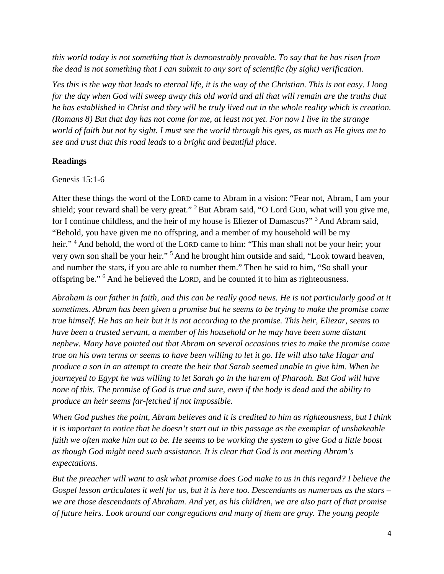*this world today is not something that is demonstrably provable. To say that he has risen from the dead is not something that I can submit to any sort of scientific (by sight) verification.* 

*Yes this is the way that leads to eternal life, it is the way of the Christian. This is not easy. I long for the day when God will sweep away this old world and all that will remain are the truths that he has established in Christ and they will be truly lived out in the whole reality which is creation. (Romans 8) But that day has not come for me, at least not yet. For now I live in the strange world of faith but not by sight. I must see the world through his eyes, as much as He gives me to see and trust that this road leads to a bright and beautiful place.*

### **Readings**

Genesis 15:1-6

After these things the word of the LORD came to Abram in a vision: "Fear not, Abram, I am your shield; your reward shall be very great." <sup>2</sup> But Abram said, "O Lord GOD, what will you give me, for I continue childless, and the heir of my house is Eliezer of Damascus?"<sup>3</sup> And Abram said, "Behold, you have given me no offspring, and a member of my household will be my heir." <sup>4</sup> And behold, the word of the LORD came to him: "This man shall not be your heir; your very own son shall be your heir." <sup>5</sup> And he brought him outside and said, "Look toward heaven, and number the stars, if you are able to number them." Then he said to him, "So shall your offspring be." <sup>6</sup> And he believed the LORD, and he counted it to him as righteousness.

*Abraham is our father in faith, and this can be really good news. He is not particularly good at it sometimes. Abram has been given a promise but he seems to be trying to make the promise come true himself. He has an heir but it is not according to the promise. This heir, Eliezar, seems to have been a trusted servant, a member of his household or he may have been some distant nephew. Many have pointed out that Abram on several occasions tries to make the promise come true on his own terms or seems to have been willing to let it go. He will also take Hagar and produce a son in an attempt to create the heir that Sarah seemed unable to give him. When he journeyed to Egypt he was willing to let Sarah go in the harem of Pharaoh. But God will have none of this. The promise of God is true and sure, even if the body is dead and the ability to produce an heir seems far-fetched if not impossible.* 

*When God pushes the point, Abram believes and it is credited to him as righteousness, but I think it is important to notice that he doesn't start out in this passage as the exemplar of unshakeable faith we often make him out to be. He seems to be working the system to give God a little boost as though God might need such assistance. It is clear that God is not meeting Abram's expectations.* 

*But the preacher will want to ask what promise does God make to us in this regard? I believe the Gospel lesson articulates it well for us, but it is here too. Descendants as numerous as the stars – we are those descendants of Abraham. And yet, as his children, we are also part of that promise of future heirs. Look around our congregations and many of them are gray. The young people*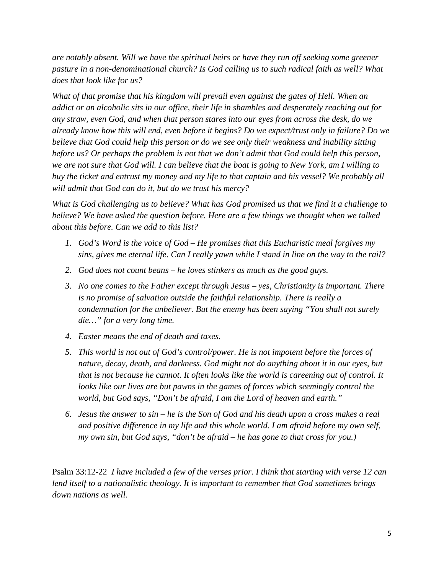*are notably absent. Will we have the spiritual heirs or have they run off seeking some greener pasture in a non-denominational church? Is God calling us to such radical faith as well? What does that look like for us?* 

*What of that promise that his kingdom will prevail even against the gates of Hell. When an addict or an alcoholic sits in our office, their life in shambles and desperately reaching out for any straw, even God, and when that person stares into our eyes from across the desk, do we already know how this will end, even before it begins? Do we expect/trust only in failure? Do we believe that God could help this person or do we see only their weakness and inability sitting before us? Or perhaps the problem is not that we don't admit that God could help this person, we are not sure that God will. I can believe that the boat is going to New York, am I willing to buy the ticket and entrust my money and my life to that captain and his vessel? We probably all will admit that God can do it, but do we trust his mercy?* 

*What is God challenging us to believe? What has God promised us that we find it a challenge to believe? We have asked the question before. Here are a few things we thought when we talked about this before. Can we add to this list?* 

- *1. God's Word is the voice of God – He promises that this Eucharistic meal forgives my sins, gives me eternal life. Can I really yawn while I stand in line on the way to the rail?*
- *2. God does not count beans – he loves stinkers as much as the good guys.*
- *3. No one comes to the Father except through Jesus – yes, Christianity is important. There is no promise of salvation outside the faithful relationship. There is really a condemnation for the unbeliever. But the enemy has been saying "You shall not surely die…" for a very long time.*
- *4. Easter means the end of death and taxes.*
- *5. This world is not out of God's control/power. He is not impotent before the forces of nature, decay, death, and darkness. God might not do anything about it in our eyes, but that is not because he cannot. It often looks like the world is careening out of control. It looks like our lives are but pawns in the games of forces which seemingly control the world, but God says, "Don't be afraid, I am the Lord of heaven and earth."*
- *6. Jesus the answer to sin – he is the Son of God and his death upon a cross makes a real and positive difference in my life and this whole world. I am afraid before my own self, my own sin, but God says, "don't be afraid – he has gone to that cross for you.)*

Psalm 33:12-22 *I have included a few of the verses prior. I think that starting with verse 12 can lend itself to a nationalistic theology. It is important to remember that God sometimes brings down nations as well.*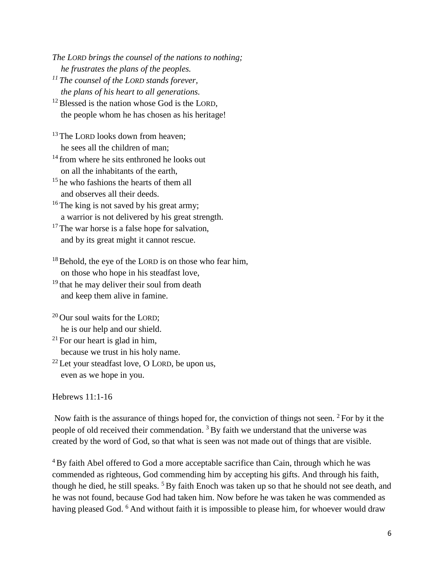*The LORD brings the counsel of the nations to nothing; he frustrates the plans of the peoples.*

*<sup>11</sup> The counsel of the LORD stands forever, the plans of his heart to all generations.*

<sup>12</sup> Blessed is the nation whose God is the LORD, the people whom he has chosen as his heritage!

<sup>13</sup> The LORD looks down from heaven: he sees all the children of man;

<sup>14</sup> from where he sits enthroned he looks out on all the inhabitants of the earth,

<sup>15</sup> he who fashions the hearts of them all and observes all their deeds.

 $16$  The king is not saved by his great army; a warrior is not delivered by his great strength.

 $17$  The war horse is a false hope for salvation, and by its great might it cannot rescue.

 $18$  Behold, the eye of the LORD is on those who fear him, on those who hope in his steadfast love,

 $19$  that he may deliver their soul from death and keep them alive in famine.

 $20$  Our soul waits for the LORD; he is our help and our shield.

 $^{21}$  For our heart is glad in him, because we trust in his holy name.

 $22$  Let your steadfast love, O LORD, be upon us, even as we hope in you.

Hebrews 11:1-16

Now faith is the assurance of things hoped for, the conviction of things not seen. <sup>2</sup> For by it the people of old received their commendation.  $3$  By faith we understand that the universe was created by the word of God, so that what is seen was not made out of things that are visible.

<sup>4</sup>By faith Abel offered to God a more acceptable sacrifice than Cain, through which he was commended as righteous, God commending him by accepting his gifts. And through his faith, though he died, he still speaks. <sup>5</sup> By faith Enoch was taken up so that he should not see death, and he was not found, because God had taken him. Now before he was taken he was commended as having pleased God. <sup>6</sup> And without faith it is impossible to please him, for whoever would draw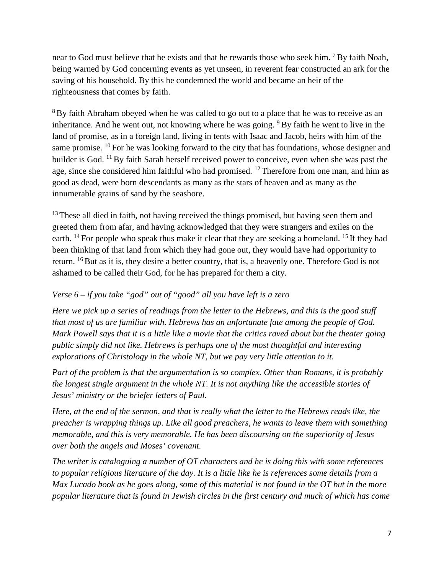near to God must believe that he exists and that he rewards those who seek him. <sup>7</sup> By faith Noah, being warned by God concerning events as yet unseen, in reverent fear constructed an ark for the saving of his household. By this he condemned the world and became an heir of the righteousness that comes by faith.

<sup>8</sup>By faith Abraham obeyed when he was called to go out to a place that he was to receive as an inheritance. And he went out, not knowing where he was going. <sup>9</sup> By faith he went to live in the land of promise, as in a foreign land, living in tents with Isaac and Jacob, heirs with him of the same promise.  $^{10}$  For he was looking forward to the city that has foundations, whose designer and builder is God. <sup>11</sup> By faith Sarah herself received power to conceive, even when she was past the age, since she considered him faithful who had promised. <sup>12</sup> Therefore from one man, and him as good as dead, were born descendants as many as the stars of heaven and as many as the innumerable grains of sand by the seashore.

 $13$  These all died in faith, not having received the things promised, but having seen them and greeted them from afar, and having acknowledged that they were strangers and exiles on the earth. <sup>14</sup> For people who speak thus make it clear that they are seeking a homeland. <sup>15</sup> If they had been thinking of that land from which they had gone out, they would have had opportunity to return. <sup>16</sup> But as it is, they desire a better country, that is, a heavenly one. Therefore God is not ashamed to be called their God, for he has prepared for them a city.

# *Verse 6 – if you take "god" out of "good" all you have left is a zero*

*Here we pick up a series of readings from the letter to the Hebrews, and this is the good stuff that most of us are familiar with. Hebrews has an unfortunate fate among the people of God. Mark Powell says that it is a little like a movie that the critics raved about but the theater going public simply did not like. Hebrews is perhaps one of the most thoughtful and interesting explorations of Christology in the whole NT, but we pay very little attention to it.* 

*Part of the problem is that the argumentation is so complex. Other than Romans, it is probably the longest single argument in the whole NT. It is not anything like the accessible stories of Jesus' ministry or the briefer letters of Paul.* 

*Here, at the end of the sermon, and that is really what the letter to the Hebrews reads like, the preacher is wrapping things up. Like all good preachers, he wants to leave them with something memorable, and this is very memorable. He has been discoursing on the superiority of Jesus over both the angels and Moses' covenant.* 

*The writer is cataloguing a number of OT characters and he is doing this with some references to popular religious literature of the day. It is a little like he is references some details from a Max Lucado book as he goes along, some of this material is not found in the OT but in the more popular literature that is found in Jewish circles in the first century and much of which has come*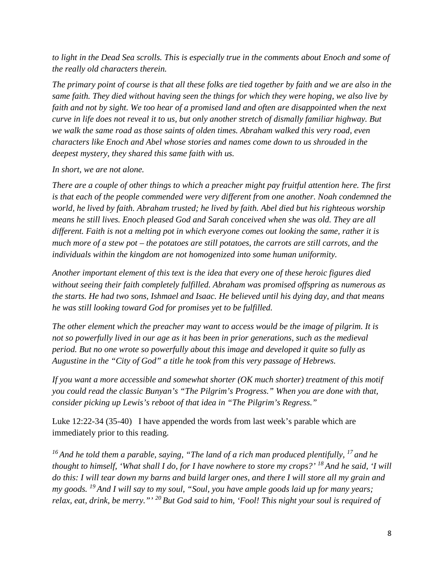*to light in the Dead Sea scrolls. This is especially true in the comments about Enoch and some of the really old characters therein.* 

*The primary point of course is that all these folks are tied together by faith and we are also in the same faith. They died without having seen the things for which they were hoping, we also live by faith and not by sight. We too hear of a promised land and often are disappointed when the next curve in life does not reveal it to us, but only another stretch of dismally familiar highway. But we walk the same road as those saints of olden times. Abraham walked this very road, even characters like Enoch and Abel whose stories and names come down to us shrouded in the deepest mystery, they shared this same faith with us.* 

### *In short, we are not alone.*

*There are a couple of other things to which a preacher might pay fruitful attention here. The first is that each of the people commended were very different from one another. Noah condemned the world, he lived by faith. Abraham trusted; he lived by faith. Abel died but his righteous worship means he still lives. Enoch pleased God and Sarah conceived when she was old. They are all different. Faith is not a melting pot in which everyone comes out looking the same, rather it is much more of a stew pot – the potatoes are still potatoes, the carrots are still carrots, and the individuals within the kingdom are not homogenized into some human uniformity.* 

*Another important element of this text is the idea that every one of these heroic figures died without seeing their faith completely fulfilled. Abraham was promised offspring as numerous as the starts. He had two sons, Ishmael and Isaac. He believed until his dying day, and that means he was still looking toward God for promises yet to be fulfilled.* 

*The other element which the preacher may want to access would be the image of pilgrim. It is not so powerfully lived in our age as it has been in prior generations, such as the medieval period. But no one wrote so powerfully about this image and developed it quite so fully as Augustine in the "City of God" a title he took from this very passage of Hebrews.* 

*If you want a more accessible and somewhat shorter (OK much shorter) treatment of this motif you could read the classic Bunyan's "The Pilgrim's Progress." When you are done with that, consider picking up Lewis's reboot of that idea in "The Pilgrim's Regress."* 

Luke 12:22-34 (35-40) I have appended the words from last week's parable which are immediately prior to this reading.

*<sup>16</sup> And he told them a parable, saying, "The land of a rich man produced plentifully, <sup>17</sup> and he thought to himself, 'What shall I do, for I have nowhere to store my crops?' <sup>18</sup> And he said, 'I will do this: I will tear down my barns and build larger ones, and there I will store all my grain and my goods. <sup>19</sup> And I will say to my soul, "Soul, you have ample goods laid up for many years; relax, eat, drink, be merry."' <sup>20</sup> But God said to him, 'Fool! This night your soul is required of*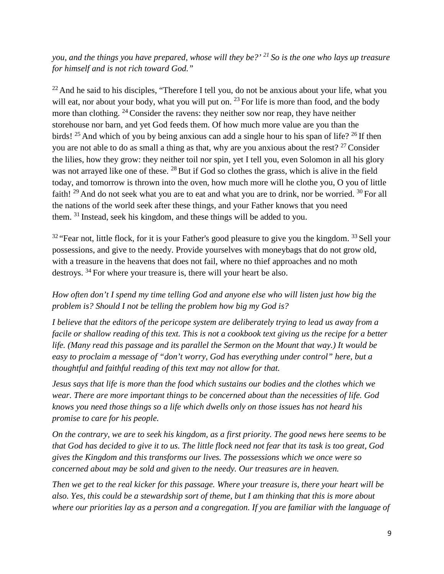*you, and the things you have prepared, whose will they be?' <sup>21</sup> So is the one who lays up treasure for himself and is not rich toward God."*

<sup>22</sup> And he said to his disciples, "Therefore I tell you, do not be anxious about your life, what you will eat, nor about your body, what you will put on.  $^{23}$  For life is more than food, and the body more than clothing. <sup>24</sup> Consider the ravens: they neither sow nor reap, they have neither storehouse nor barn, and yet God feeds them. Of how much more value are you than the birds! <sup>25</sup> And which of you by being anxious can add a single hour to his span of life? <sup>26</sup> If then you are not able to do as small a thing as that, why are you anxious about the rest?  $27$  Consider the lilies, how they grow: they neither toil nor spin, yet I tell you, even Solomon in all his glory was not arrayed like one of these. <sup>28</sup> But if God so clothes the grass, which is alive in the field today, and tomorrow is thrown into the oven, how much more will he clothe you, O you of little faith!  $29$  And do not seek what you are to eat and what you are to drink, nor be worried.  $30$  For all the nations of the world seek after these things, and your Father knows that you need them. <sup>31</sup> Instead, seek his kingdom, and these things will be added to you.

 $32$  "Fear not, little flock, for it is your Father's good pleasure to give you the kingdom.  $33$  Sell your possessions, and give to the needy. Provide yourselves with moneybags that do not grow old, with a treasure in the heavens that does not fail, where no thief approaches and no moth destroys. <sup>34</sup> For where your treasure is, there will your heart be also.

# *How often don't I spend my time telling God and anyone else who will listen just how big the problem is? Should I not be telling the problem how big my God is?*

*I believe that the editors of the pericope system are deliberately trying to lead us away from a facile or shallow reading of this text. This is not a cookbook text giving us the recipe for a better life. (Many read this passage and its parallel the Sermon on the Mount that way.) It would be easy to proclaim a message of "don't worry, God has everything under control" here, but a thoughtful and faithful reading of this text may not allow for that.* 

*Jesus says that life is more than the food which sustains our bodies and the clothes which we wear. There are more important things to be concerned about than the necessities of life. God knows you need those things so a life which dwells only on those issues has not heard his promise to care for his people.* 

*On the contrary, we are to seek his kingdom, as a first priority. The good news here seems to be that God has decided to give it to us. The little flock need not fear that its task is too great, God gives the Kingdom and this transforms our lives. The possessions which we once were so concerned about may be sold and given to the needy. Our treasures are in heaven.* 

*Then we get to the real kicker for this passage. Where your treasure is, there your heart will be also. Yes, this could be a stewardship sort of theme, but I am thinking that this is more about where our priorities lay as a person and a congregation. If you are familiar with the language of*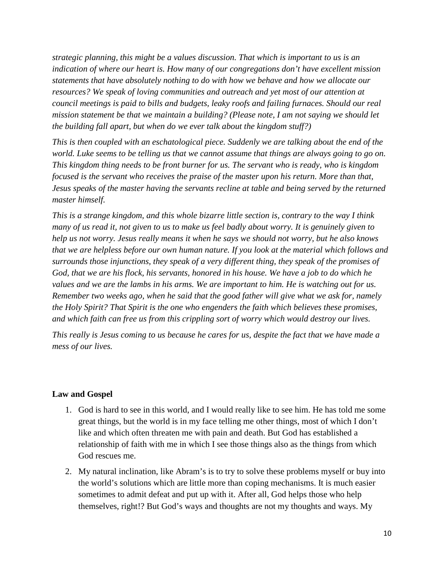*strategic planning, this might be a values discussion. That which is important to us is an indication of where our heart is. How many of our congregations don't have excellent mission statements that have absolutely nothing to do with how we behave and how we allocate our resources? We speak of loving communities and outreach and yet most of our attention at council meetings is paid to bills and budgets, leaky roofs and failing furnaces. Should our real mission statement be that we maintain a building? (Please note, I am not saying we should let the building fall apart, but when do we ever talk about the kingdom stuff?)* 

*This is then coupled with an eschatological piece. Suddenly we are talking about the end of the world. Luke seems to be telling us that we cannot assume that things are always going to go on. This kingdom thing needs to be front burner for us. The servant who is ready, who is kingdom focused is the servant who receives the praise of the master upon his return. More than that, Jesus speaks of the master having the servants recline at table and being served by the returned master himself.* 

*This is a strange kingdom, and this whole bizarre little section is, contrary to the way I think many of us read it, not given to us to make us feel badly about worry. It is genuinely given to help us not worry. Jesus really means it when he says we should not worry, but he also knows that we are helpless before our own human nature. If you look at the material which follows and surrounds those injunctions, they speak of a very different thing, they speak of the promises of God, that we are his flock, his servants, honored in his house. We have a job to do which he values and we are the lambs in his arms. We are important to him. He is watching out for us. Remember two weeks ago, when he said that the good father will give what we ask for, namely the Holy Spirit? That Spirit is the one who engenders the faith which believes these promises, and which faith can free us from this crippling sort of worry which would destroy our lives.* 

*This really is Jesus coming to us because he cares for us, despite the fact that we have made a mess of our lives.* 

### **Law and Gospel**

- 1. God is hard to see in this world, and I would really like to see him. He has told me some great things, but the world is in my face telling me other things, most of which I don't like and which often threaten me with pain and death. But God has established a relationship of faith with me in which I see those things also as the things from which God rescues me.
- 2. My natural inclination, like Abram's is to try to solve these problems myself or buy into the world's solutions which are little more than coping mechanisms. It is much easier sometimes to admit defeat and put up with it. After all, God helps those who help themselves, right!? But God's ways and thoughts are not my thoughts and ways. My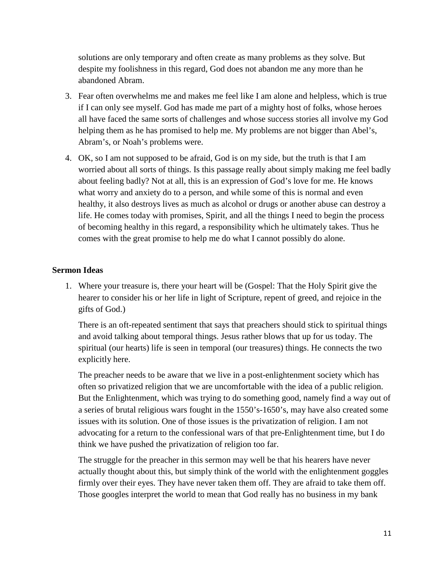solutions are only temporary and often create as many problems as they solve. But despite my foolishness in this regard, God does not abandon me any more than he abandoned Abram.

- 3. Fear often overwhelms me and makes me feel like I am alone and helpless, which is true if I can only see myself. God has made me part of a mighty host of folks, whose heroes all have faced the same sorts of challenges and whose success stories all involve my God helping them as he has promised to help me. My problems are not bigger than Abel's, Abram's, or Noah's problems were.
- 4. OK, so I am not supposed to be afraid, God is on my side, but the truth is that I am worried about all sorts of things. Is this passage really about simply making me feel badly about feeling badly? Not at all, this is an expression of God's love for me. He knows what worry and anxiety do to a person, and while some of this is normal and even healthy, it also destroys lives as much as alcohol or drugs or another abuse can destroy a life. He comes today with promises, Spirit, and all the things I need to begin the process of becoming healthy in this regard, a responsibility which he ultimately takes. Thus he comes with the great promise to help me do what I cannot possibly do alone.

### **Sermon Ideas**

1. Where your treasure is, there your heart will be (Gospel: That the Holy Spirit give the hearer to consider his or her life in light of Scripture, repent of greed, and rejoice in the gifts of God.)

There is an oft-repeated sentiment that says that preachers should stick to spiritual things and avoid talking about temporal things. Jesus rather blows that up for us today. The spiritual (our hearts) life is seen in temporal (our treasures) things. He connects the two explicitly here.

The preacher needs to be aware that we live in a post-enlightenment society which has often so privatized religion that we are uncomfortable with the idea of a public religion. But the Enlightenment, which was trying to do something good, namely find a way out of a series of brutal religious wars fought in the 1550's-1650's, may have also created some issues with its solution. One of those issues is the privatization of religion. I am not advocating for a return to the confessional wars of that pre-Enlightenment time, but I do think we have pushed the privatization of religion too far.

The struggle for the preacher in this sermon may well be that his hearers have never actually thought about this, but simply think of the world with the enlightenment goggles firmly over their eyes. They have never taken them off. They are afraid to take them off. Those googles interpret the world to mean that God really has no business in my bank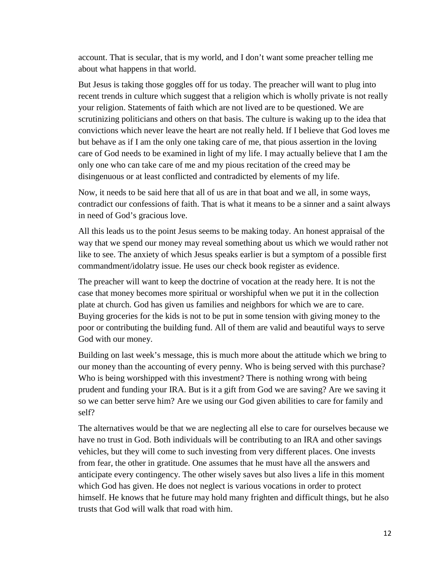account. That is secular, that is my world, and I don't want some preacher telling me about what happens in that world.

But Jesus is taking those goggles off for us today. The preacher will want to plug into recent trends in culture which suggest that a religion which is wholly private is not really your religion. Statements of faith which are not lived are to be questioned. We are scrutinizing politicians and others on that basis. The culture is waking up to the idea that convictions which never leave the heart are not really held. If I believe that God loves me but behave as if I am the only one taking care of me, that pious assertion in the loving care of God needs to be examined in light of my life. I may actually believe that I am the only one who can take care of me and my pious recitation of the creed may be disingenuous or at least conflicted and contradicted by elements of my life.

Now, it needs to be said here that all of us are in that boat and we all, in some ways, contradict our confessions of faith. That is what it means to be a sinner and a saint always in need of God's gracious love.

All this leads us to the point Jesus seems to be making today. An honest appraisal of the way that we spend our money may reveal something about us which we would rather not like to see. The anxiety of which Jesus speaks earlier is but a symptom of a possible first commandment/idolatry issue. He uses our check book register as evidence.

The preacher will want to keep the doctrine of vocation at the ready here. It is not the case that money becomes more spiritual or worshipful when we put it in the collection plate at church. God has given us families and neighbors for which we are to care. Buying groceries for the kids is not to be put in some tension with giving money to the poor or contributing the building fund. All of them are valid and beautiful ways to serve God with our money.

Building on last week's message, this is much more about the attitude which we bring to our money than the accounting of every penny. Who is being served with this purchase? Who is being worshipped with this investment? There is nothing wrong with being prudent and funding your IRA. But is it a gift from God we are saving? Are we saving it so we can better serve him? Are we using our God given abilities to care for family and self?

The alternatives would be that we are neglecting all else to care for ourselves because we have no trust in God. Both individuals will be contributing to an IRA and other savings vehicles, but they will come to such investing from very different places. One invests from fear, the other in gratitude. One assumes that he must have all the answers and anticipate every contingency. The other wisely saves but also lives a life in this moment which God has given. He does not neglect is various vocations in order to protect himself. He knows that he future may hold many frighten and difficult things, but he also trusts that God will walk that road with him.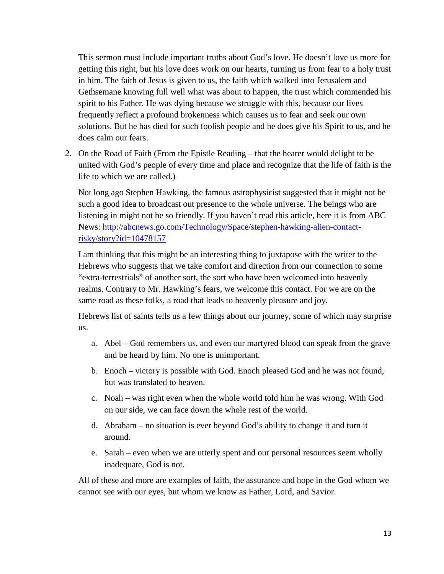This sermon must include important truths about God's love. He doesn't love us more for getting this right, but his love does work on our hearts, turning us from fear to a holy trust in him. The faith of Jesus is given to us, the faith which walked into Jerusalem and Gethsemane knowing full well what was about to happen, the trust which commended his spirit to his Father. He was dying because we struggle with this, because our lives frequently reflect a profound brokenness which causes us to fear and seek our own solutions. But he has died for such foolish people and he does give his Spirit to us, and he does calm our fears.

2. On the Road of Faith (From the Epistle Reading – that the hearer would delight to be united with God's people of every time and place and recognize that the life of faith is the life to which we are called.)

Not long ago Stephen Hawking, the famous astrophysicist suggested that it might not be such a good idea to broadcast out presence to the whole universe. The beings who are listening in might not be so friendly. If you haven't read this article, here it is from ABC News: [http://abcnews.go.com/Technology/Space/stephen-hawking-alien-contact](http://abcnews.go.com/Technology/Space/stephen-hawking-alien-contact-risky/story?id=10478157)[risky/story?id=10478157](http://abcnews.go.com/Technology/Space/stephen-hawking-alien-contact-risky/story?id=10478157)

I am thinking that this might be an interesting thing to juxtapose with the writer to the Hebrews who suggests that we take comfort and direction from our connection to some "extra-terrestrials" of another sort, the sort who have been welcomed into heavenly realms. Contrary to Mr. Hawking's fears, we welcome this contact. For we are on the same road as these folks, a road that leads to heavenly pleasure and joy.

Hebrews list of saints tells us a few things about our journey, some of which may surprise us.

- a. Abel God remembers us, and even our martyred blood can speak from the grave and be heard by him. No one is unimportant.
- b. Enoch victory is possible with God. Enoch pleased God and he was not found, but was translated to heaven.
- c. Noah was right even when the whole world told him he was wrong. With God on our side, we can face down the whole rest of the world.
- d. Abraham no situation is ever beyond God's ability to change it and turn it around.
- e. Sarah even when we are utterly spent and our personal resources seem wholly inadequate, God is not.

All of these and more are examples of faith, the assurance and hope in the God whom we cannot see with our eyes, but whom we know as Father, Lord, and Savior.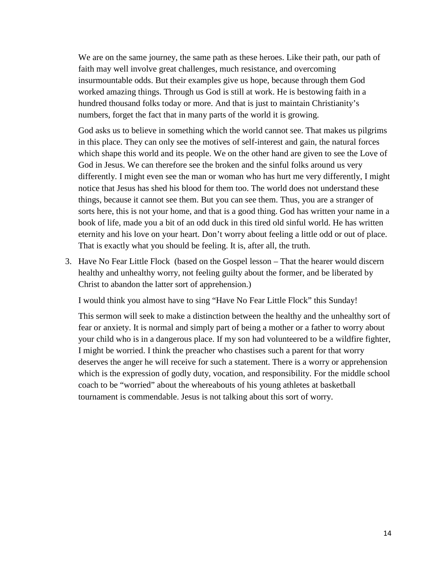We are on the same journey, the same path as these heroes. Like their path, our path of faith may well involve great challenges, much resistance, and overcoming insurmountable odds. But their examples give us hope, because through them God worked amazing things. Through us God is still at work. He is bestowing faith in a hundred thousand folks today or more. And that is just to maintain Christianity's numbers, forget the fact that in many parts of the world it is growing.

God asks us to believe in something which the world cannot see. That makes us pilgrims in this place. They can only see the motives of self-interest and gain, the natural forces which shape this world and its people. We on the other hand are given to see the Love of God in Jesus. We can therefore see the broken and the sinful folks around us very differently. I might even see the man or woman who has hurt me very differently, I might notice that Jesus has shed his blood for them too. The world does not understand these things, because it cannot see them. But you can see them. Thus, you are a stranger of sorts here, this is not your home, and that is a good thing. God has written your name in a book of life, made you a bit of an odd duck in this tired old sinful world. He has written eternity and his love on your heart. Don't worry about feeling a little odd or out of place. That is exactly what you should be feeling. It is, after all, the truth.

3. Have No Fear Little Flock (based on the Gospel lesson – That the hearer would discern healthy and unhealthy worry, not feeling guilty about the former, and be liberated by Christ to abandon the latter sort of apprehension.)

I would think you almost have to sing "Have No Fear Little Flock" this Sunday!

This sermon will seek to make a distinction between the healthy and the unhealthy sort of fear or anxiety. It is normal and simply part of being a mother or a father to worry about your child who is in a dangerous place. If my son had volunteered to be a wildfire fighter, I might be worried. I think the preacher who chastises such a parent for that worry deserves the anger he will receive for such a statement. There is a worry or apprehension which is the expression of godly duty, vocation, and responsibility. For the middle school coach to be "worried" about the whereabouts of his young athletes at basketball tournament is commendable. Jesus is not talking about this sort of worry.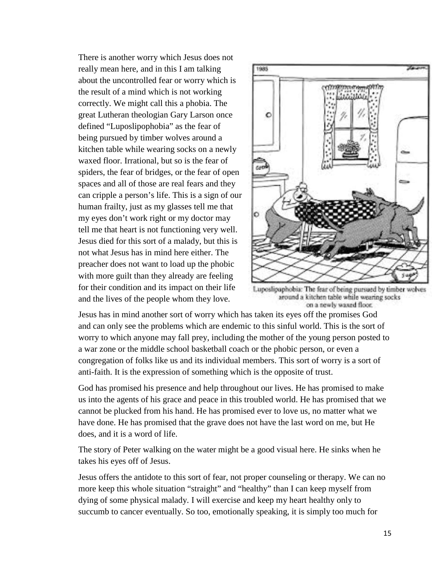There is another worry which Jesus does not really mean here, and in this I am talking about the uncontrolled fear or worry which is the result of a mind which is not working correctly. We might call this a phobia. The great Lutheran theologian Gary Larson once defined "Luposlipophobia" as the fear of being pursued by timber wolves around a kitchen table while wearing socks on a newly waxed floor. Irrational, but so is the fear of spiders, the fear of bridges, or the fear of open spaces and all of those are real fears and they can cripple a person's life. This is a sign of our human frailty, just as my glasses tell me that my eyes don't work right or my doctor may tell me that heart is not functioning very well. Jesus died for this sort of a malady, but this is not what Jesus has in mind here either. The preacher does not want to load up the phobic with more guilt than they already are feeling for their condition and its impact on their life and the lives of the people whom they love.



Luposlipaphobia: The fear of being pursued by timber wolves around a kitchen table while wearing socks on a newly waxed floor.

Jesus has in mind another sort of worry which has taken its eyes off the promises God and can only see the problems which are endemic to this sinful world. This is the sort of worry to which anyone may fall prey, including the mother of the young person posted to a war zone or the middle school basketball coach or the phobic person, or even a congregation of folks like us and its individual members. This sort of worry is a sort of anti-faith. It is the expression of something which is the opposite of trust.

God has promised his presence and help throughout our lives. He has promised to make us into the agents of his grace and peace in this troubled world. He has promised that we cannot be plucked from his hand. He has promised ever to love us, no matter what we have done. He has promised that the grave does not have the last word on me, but He does, and it is a word of life.

The story of Peter walking on the water might be a good visual here. He sinks when he takes his eyes off of Jesus.

Jesus offers the antidote to this sort of fear, not proper counseling or therapy. We can no more keep this whole situation "straight" and "healthy" than I can keep myself from dying of some physical malady. I will exercise and keep my heart healthy only to succumb to cancer eventually. So too, emotionally speaking, it is simply too much for